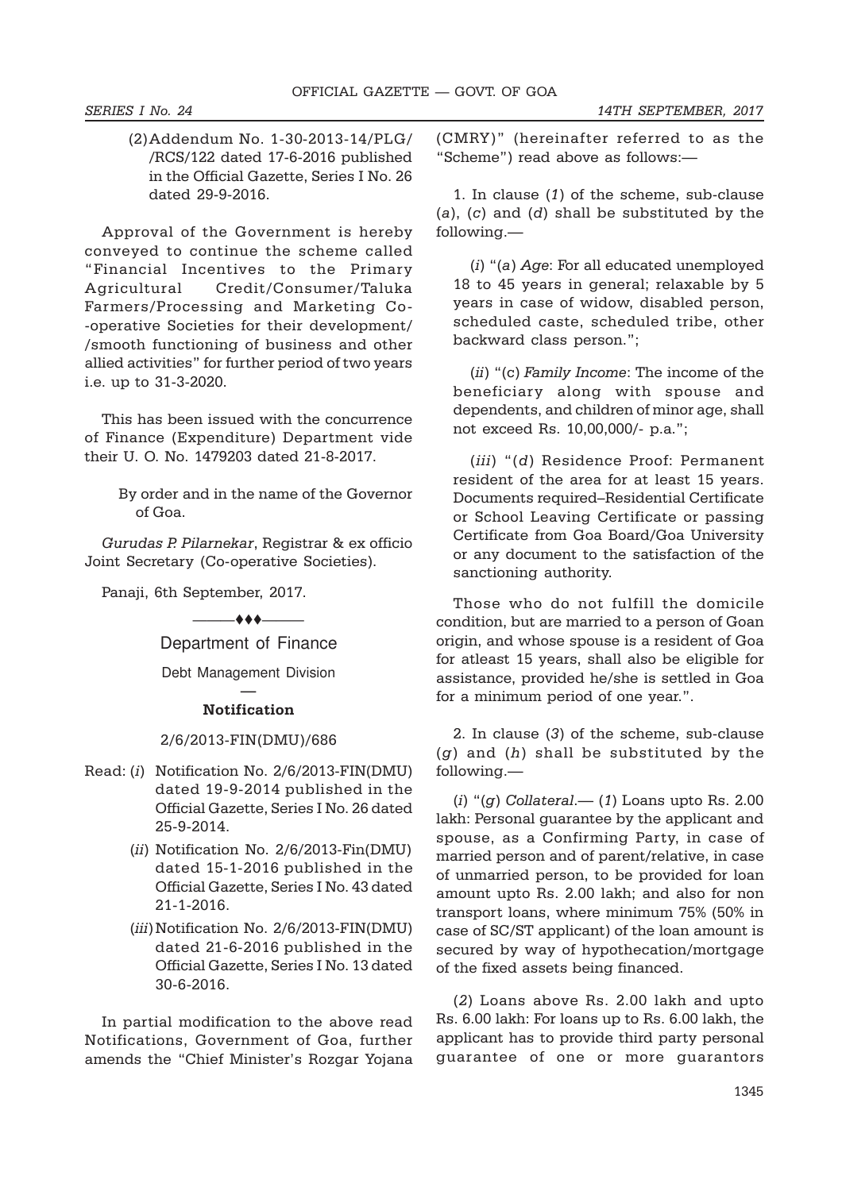(2)Addendum No. 1-30-2013-14/PLG/ /RCS/122 dated 17-6-2016 published in the Official Gazette, Series I No. 26 dated 29-9-2016.

Approval of the Government is hereby conveyed to continue the scheme called "Financial Incentives to the Primary Agricultural Credit/Consumer/Taluka Farmers/Processing and Marketing Co- -operative Societies for their development/ /smooth functioning of business and other allied activities" for further period of two years i.e. up to 31-3-2020.

This has been issued with the concurrence of Finance (Expenditure) Department vide their U. O. No. 1479203 dated 21-8-2017.

> By order and in the name of the Governor of Goa.

Gurudas P. Pilarnekar, Registrar & ex officio Joint Secretary (Co-operative Societies).

Panaji, 6th September, 2017.

 $-$  + +  $-$ 

Department of Finance

Debt Management Division —

## Notification

2/6/2013-FIN(DMU)/686

- Read: (i) Notification No. 2/6/2013-FIN(DMU) dated 19-9-2014 published in the Official Gazette, Series I No. 26 dated 25-9-2014.
	- (ii) Notification No. 2/6/2013-Fin(DMU) dated 15-1-2016 published in the Official Gazette, Series I No. 43 dated 21-1-2016.
	- (*iii*) Notification No. 2/6/2013-FIN(DMU) dated 21-6-2016 published in the Official Gazette, Series I No. 13 dated 30-6-2016.

In partial modification to the above read Notifications, Government of Goa, further amends the "Chief Minister's Rozgar Yojana (CMRY)" (hereinafter referred to as the "Scheme") read above as follows:—

1. In clause (1) of the scheme, sub-clause (a), (c) and (d) shall be substituted by the following.—

(i) "(a) Age: For all educated unemployed 18 to 45 years in general; relaxable by 5 years in case of widow, disabled person, scheduled caste, scheduled tribe, other backward class person.";

(ii) "(c) Family Income: The income of the beneficiary along with spouse and dependents, and children of minor age, shall not exceed Rs. 10,00,000/- p.a.";

(iii) "(d) Residence Proof: Permanent resident of the area for at least 15 years. Documents required–Residential Certificate or School Leaving Certificate or passing Certificate from Goa Board/Goa University or any document to the satisfaction of the sanctioning authority.

Those who do not fulfill the domicile condition, but are married to a person of Goan origin, and whose spouse is a resident of Goa for atleast 15 years, shall also be eligible for assistance, provided he/she is settled in Goa for a minimum period of one year.".

2. In clause (3) of the scheme, sub-clause  $(g)$  and  $(h)$  shall be substituted by the following.—

(i) " $(g)$  Collateral.— (1) Loans upto Rs. 2.00 lakh: Personal guarantee by the applicant and spouse, as a Confirming Party, in case of married person and of parent/relative, in case of unmarried person, to be provided for loan amount upto Rs. 2.00 lakh; and also for non transport loans, where minimum 75% (50% in case of SC/ST applicant) of the loan amount is secured by way of hypothecation/mortgage of the fixed assets being financed.

(2) Loans above Rs. 2.00 lakh and upto Rs. 6.00 lakh: For loans up to Rs. 6.00 lakh, the applicant has to provide third party personal guarantee of one or more guarantors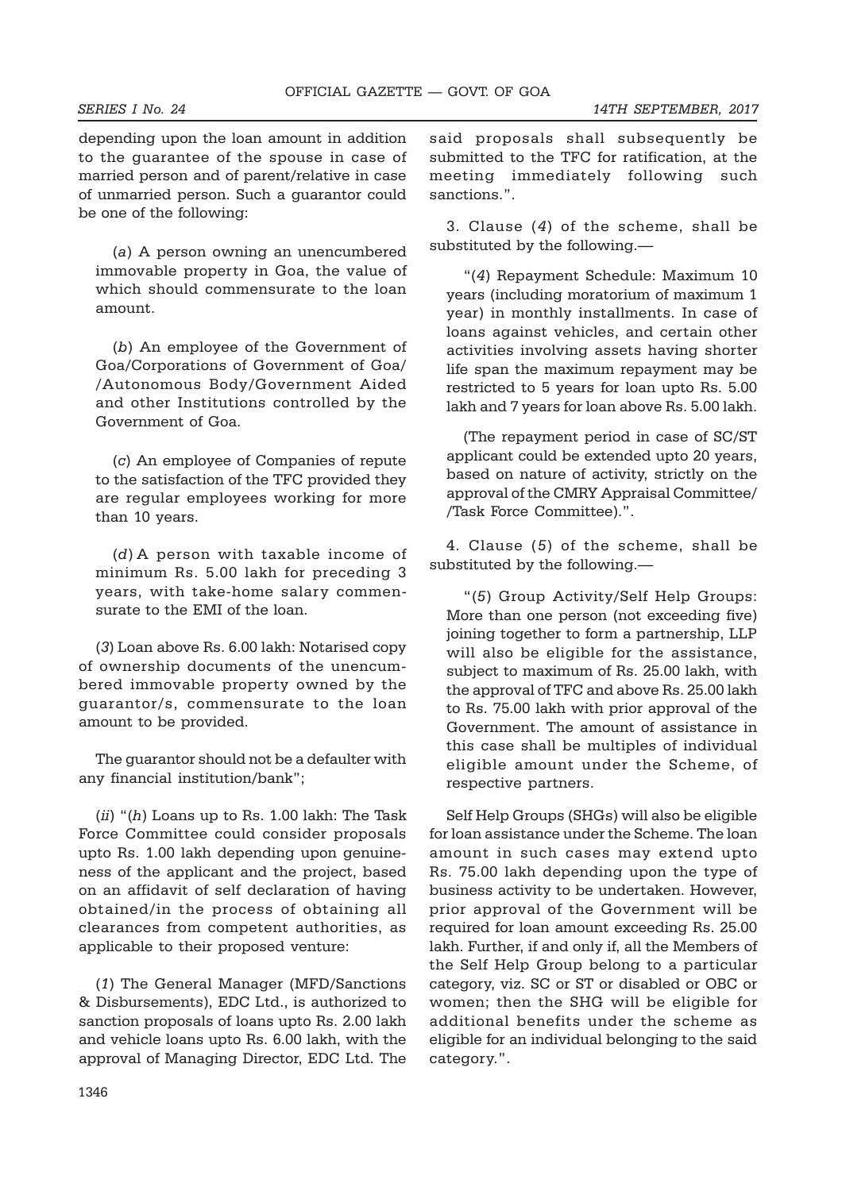depending upon the loan amount in addition to the guarantee of the spouse in case of married person and of parent/relative in case of unmarried person. Such a guarantor could be one of the following:

(a) A person owning an unencumbered immovable property in Goa, the value of which should commensurate to the loan amount

(b) An employee of the Government of Goa/Corporations of Government of Goa/ /Autonomous Body/Government Aided and other Institutions controlled by the Government of Goa.

(c) An employee of Companies of repute to the satisfaction of the TFC provided they are regular employees working for more than 10 years.

(d) A person with taxable income of minimum Rs. 5.00 lakh for preceding 3 years, with take-home salary commensurate to the EMI of the loan.

(3) Loan above Rs. 6.00 lakh: Notarised copy of ownership documents of the unencumbered immovable property owned by the guarantor/s, commensurate to the loan amount to be provided.

The guarantor should not be a defaulter with any financial institution/bank";

 $(ii)$  " $(h)$  Loans up to Rs. 1.00 lakh: The Task Force Committee could consider proposals upto Rs. 1.00 lakh depending upon genuineness of the applicant and the project, based on an affidavit of self declaration of having obtained/in the process of obtaining all clearances from competent authorities, as applicable to their proposed venture:

(1) The General Manager (MFD/Sanctions & Disbursements), EDC Ltd., is authorized to sanction proposals of loans upto Rs. 2.00 lakh and vehicle loans upto Rs. 6.00 lakh, with the approval of Managing Director, EDC Ltd. The said proposals shall subsequently be submitted to the TFC for ratification, at the meeting immediately following such sanctions.".

3. Clause (4) of the scheme, shall be substituted by the following.—

"(4) Repayment Schedule: Maximum 10 years (including moratorium of maximum 1 year) in monthly installments. In case of loans against vehicles, and certain other activities involving assets having shorter life span the maximum repayment may be restricted to 5 years for loan upto Rs. 5.00 lakh and 7 years for loan above Rs. 5.00 lakh.

(The repayment period in case of SC/ST applicant could be extended upto 20 years, based on nature of activity, strictly on the approval of the CMRY Appraisal Committee/ /Task Force Committee).".

4. Clause (5) of the scheme, shall be substituted by the following.—

"(5) Group Activity/Self Help Groups: More than one person (not exceeding five) joining together to form a partnership, LLP will also be eligible for the assistance, subject to maximum of Rs. 25.00 lakh, with the approval of TFC and above Rs. 25.00 lakh to Rs. 75.00 lakh with prior approval of the Government. The amount of assistance in this case shall be multiples of individual eligible amount under the Scheme, of respective partners.

Self Help Groups (SHGs) will also be eligible for loan assistance under the Scheme. The loan amount in such cases may extend upto Rs. 75.00 lakh depending upon the type of business activity to be undertaken. However, prior approval of the Government will be required for loan amount exceeding Rs. 25.00 lakh. Further, if and only if, all the Members of the Self Help Group belong to a particular category, viz. SC or ST or disabled or OBC or women; then the SHG will be eligible for additional benefits under the scheme as eligible for an individual belonging to the said category.".